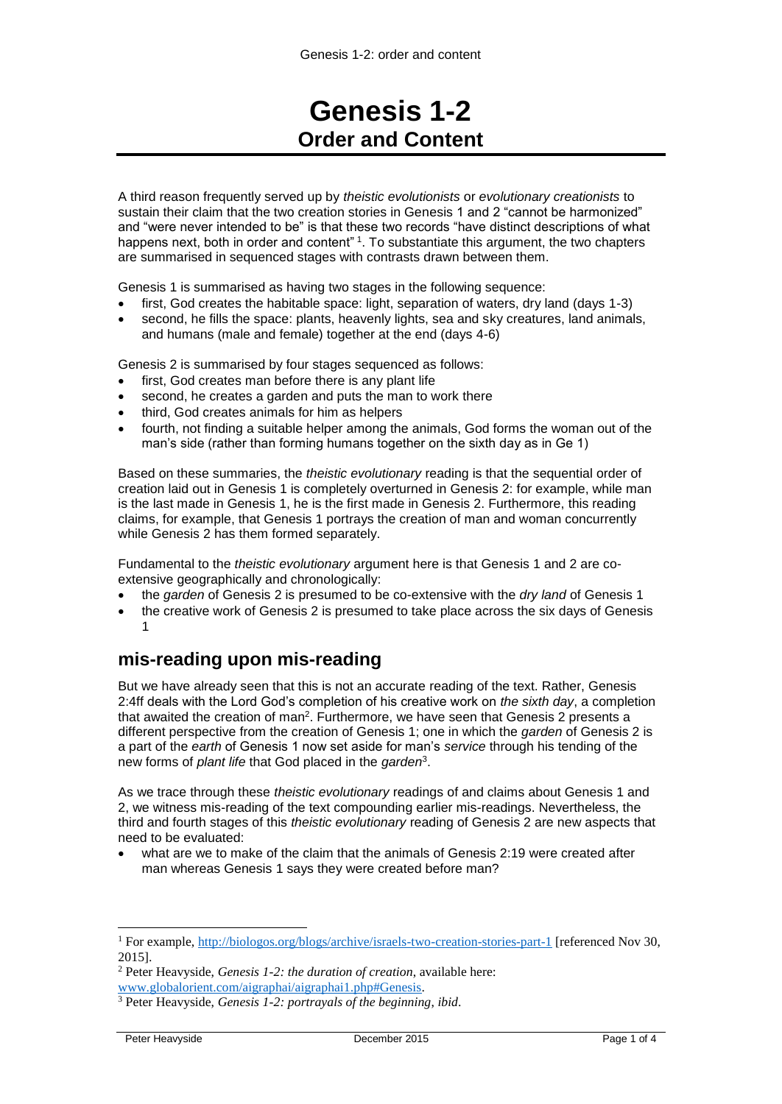# **Genesis 1-2 Order and Content**

A third reason frequently served up by *theistic evolutionists* or *evolutionary creationists* to sustain their claim that the two creation stories in Genesis 1 and 2 "cannot be harmonized" and "were never intended to be" is that these two records "have distinct descriptions of what happens next, both in order and content" <sup>1</sup>. To substantiate this argument, the two chapters are summarised in sequenced stages with contrasts drawn between them.

Genesis 1 is summarised as having two stages in the following sequence:

- first, God creates the habitable space: light, separation of waters, dry land (days 1-3)
- second, he fills the space: plants, heavenly lights, sea and sky creatures, land animals, and humans (male and female) together at the end (days 4-6)

Genesis 2 is summarised by four stages sequenced as follows:

- first, God creates man before there is any plant life
- second, he creates a garden and puts the man to work there
- third, God creates animals for him as helpers
- fourth, not finding a suitable helper among the animals, God forms the woman out of the man's side (rather than forming humans together on the sixth day as in Ge 1)

Based on these summaries, the *theistic evolutionary* reading is that the sequential order of creation laid out in Genesis 1 is completely overturned in Genesis 2: for example, while man is the last made in Genesis 1, he is the first made in Genesis 2. Furthermore, this reading claims, for example, that Genesis 1 portrays the creation of man and woman concurrently while Genesis 2 has them formed separately.

Fundamental to the *theistic evolutionary* argument here is that Genesis 1 and 2 are coextensive geographically and chronologically:

- the *garden* of Genesis 2 is presumed to be co-extensive with the *dry land* of Genesis 1
- the creative work of Genesis 2 is presumed to take place across the six days of Genesis 1

# **mis-reading upon mis-reading**

But we have already seen that this is not an accurate reading of the text. Rather, Genesis 2:4ff deals with the Lord God's completion of his creative work on *the sixth day*, a completion that awaited the creation of man<sup>2</sup>. Furthermore, we have seen that Genesis 2 presents a different perspective from the creation of Genesis 1; one in which the *garden* of Genesis 2 is a part of the *earth* of Genesis 1 now set aside for man's *service* through his tending of the new forms of *plant life* that God placed in the *garden*<sup>3</sup> .

As we trace through these *theistic evolutionary* readings of and claims about Genesis 1 and 2, we witness mis-reading of the text compounding earlier mis-readings. Nevertheless, the third and fourth stages of this *theistic evolutionary* reading of Genesis 2 are new aspects that need to be evaluated:

 what are we to make of the claim that the animals of Genesis 2:19 were created after man whereas Genesis 1 says they were created before man?

-

<sup>1</sup> For example,<http://biologos.org/blogs/archive/israels-two-creation-stories-part-1> [referenced Nov 30, 2015].

<sup>2</sup> Peter Heavyside, *Genesis 1-2: the duration of creation*, available here:

[www.globalorient.com/aigraphai/aigraphai1.php#Genesis.](http://www.globalorient.com/aigraphai/aigraphai1.php#Genesis) 

<sup>3</sup> Peter Heavyside, *Genesis 1-2: portrayals of the beginning*, *ibid*.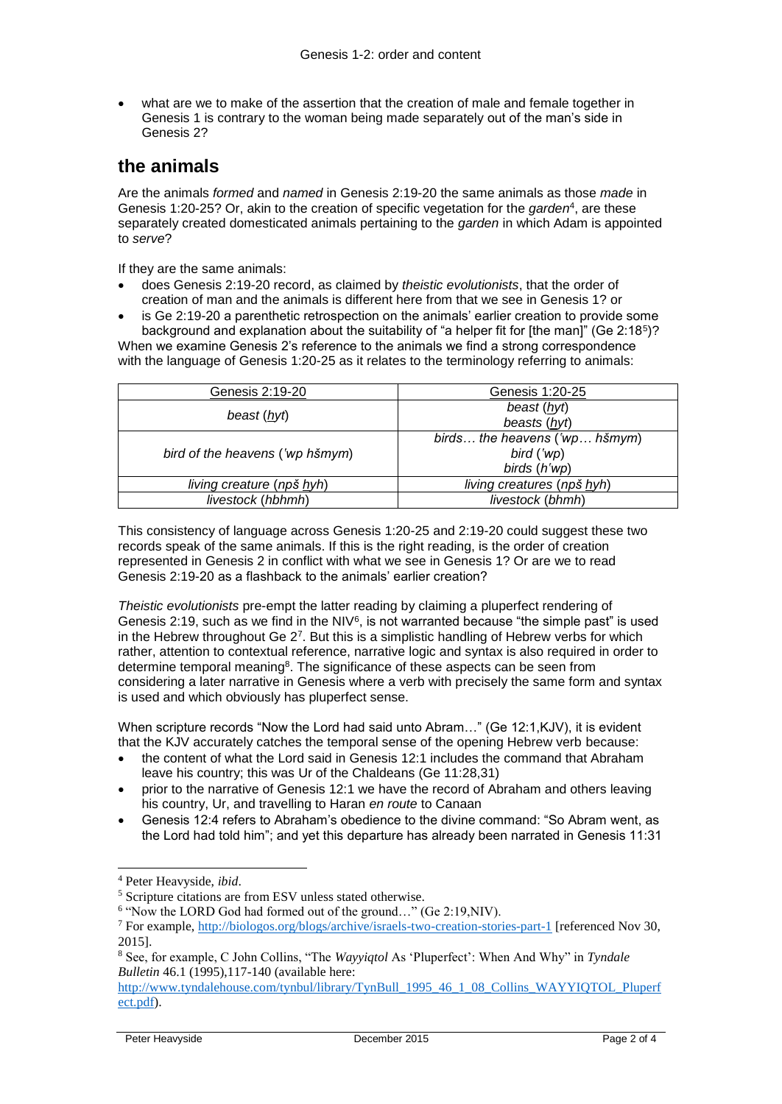what are we to make of the assertion that the creation of male and female together in Genesis 1 is contrary to the woman being made separately out of the man's side in Genesis 2?

# **the animals**

Are the animals *formed* and *named* in Genesis 2:19-20 the same animals as those *made* in Genesis 1:20-25? Or, akin to the creation of specific vegetation for the *garden*<sup>4</sup> , are these separately created domesticated animals pertaining to the *garden* in which Adam is appointed to *serve*?

If they are the same animals:

- does Genesis 2:19-20 record, as claimed by *theistic evolutionists*, that the order of creation of man and the animals is different here from that we see in Genesis 1? or
- is Ge 2:19-20 a parenthetic retrospection on the animals' earlier creation to provide some background and explanation about the suitability of "a helper fit for [the man]" (Ge 2:18<sup>5</sup>)?

When we examine Genesis 2's reference to the animals we find a strong correspondence with the language of Genesis 1:20-25 as it relates to the terminology referring to animals:

| Genesis 2:19-20                 | Genesis 1:20-25               |
|---------------------------------|-------------------------------|
| beast (hyt)                     | beast (hyt)                   |
|                                 | beasts (hyt)                  |
| bird of the heavens ('wp hšmym) | birds the heavens ('wp hšmym) |
|                                 | bird ('wp)                    |
|                                 | birds (h'wp)                  |
| living creature (npš hyh)       | living creatures (npš hyh)    |
| livestock (hbhmh)               | livestock (bhmh)              |

This consistency of language across Genesis 1:20-25 and 2:19-20 could suggest these two records speak of the same animals. If this is the right reading, is the order of creation represented in Genesis 2 in conflict with what we see in Genesis 1? Or are we to read Genesis 2:19-20 as a flashback to the animals' earlier creation?

*Theistic evolutionists* pre-empt the latter reading by claiming a pluperfect rendering of Genesis 2:19, such as we find in the NIV<sup>6</sup>, is not warranted because "the simple past" is used in the Hebrew throughout Ge 2<sup>7</sup>. But this is a simplistic handling of Hebrew verbs for which rather, attention to contextual reference, narrative logic and syntax is also required in order to determine temporal meaning<sup>8</sup>. The significance of these aspects can be seen from considering a later narrative in Genesis where a verb with precisely the same form and syntax is used and which obviously has pluperfect sense.

When scripture records "Now the Lord had said unto Abram..." (Ge 12:1, KJV), it is evident that the KJV accurately catches the temporal sense of the opening Hebrew verb because:

- the content of what the Lord said in Genesis 12:1 includes the command that Abraham leave his country; this was Ur of the Chaldeans (Ge 11:28,31)
- prior to the narrative of Genesis 12:1 we have the record of Abraham and others leaving his country, Ur, and travelling to Haran *en route* to Canaan
- Genesis 12:4 refers to Abraham's obedience to the divine command: "So Abram went, as the Lord had told him"; and yet this departure has already been narrated in Genesis 11:31

 $\overline{a}$ 

<sup>4</sup> Peter Heavyside, *ibid*.

<sup>5</sup> Scripture citations are from ESV unless stated otherwise.

<sup>&</sup>lt;sup>6</sup> "Now the LORD God had formed out of the ground..." (Ge 2:19, NIV).

<sup>7</sup> For example,<http://biologos.org/blogs/archive/israels-two-creation-stories-part-1> [referenced Nov 30, 2015].

<sup>8</sup> See, for example, C John Collins, "The *Wayyiqtol* As 'Pluperfect': When And Why" in *Tyndale Bulletin* 46.1 (1995),117-140 (available here:

[http://www.tyndalehouse.com/tynbul/library/TynBull\\_1995\\_46\\_1\\_08\\_Collins\\_WAYYIQTOL\\_Pluperf](http://www.tyndalehouse.com/tynbul/library/TynBull_1995_46_1_08_Collins_WAYYIQTOL_Pluperfect.pdf) [ect.pdf\)](http://www.tyndalehouse.com/tynbul/library/TynBull_1995_46_1_08_Collins_WAYYIQTOL_Pluperfect.pdf).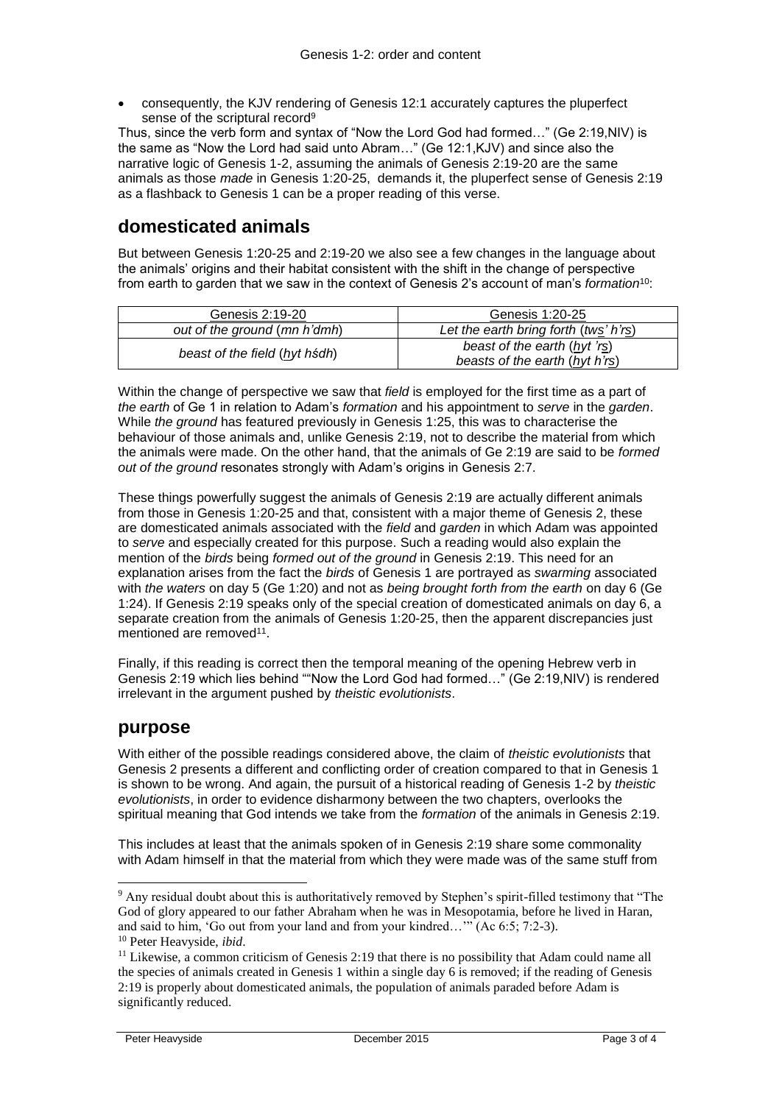consequently, the KJV rendering of Genesis 12:1 accurately captures the pluperfect sense of the scriptural record<sup>9</sup>

Thus, since the verb form and syntax of "Now the Lord God had formed…" (Ge 2:19,NIV) is the same as "Now the Lord had said unto Abram…" (Ge 12:1,KJV) and since also the narrative logic of Genesis 1-2, assuming the animals of Genesis 2:19-20 are the same animals as those *made* in Genesis 1:20-25, demands it, the pluperfect sense of Genesis 2:19 as a flashback to Genesis 1 can be a proper reading of this verse.

# **domesticated animals**

But between Genesis 1:20-25 and 2:19-20 we also see a few changes in the language about the animals' origins and their habitat consistent with the shift in the change of perspective from earth to garden that we saw in the context of Genesis 2's account of man's *formation*<sup>10</sup>:

| Genesis 2:19-20               | Genesis 1:20-25                                                |
|-------------------------------|----------------------------------------------------------------|
| out of the ground (mn h'dmh)  | Let the earth bring forth (tws' h'rs)                          |
| beast of the field (hyt hsdh) | beast of the earth (hyt 'rs)<br>beasts of the earth (hyt h'rs) |

Within the change of perspective we saw that *field* is employed for the first time as a part of *the earth* of Ge 1 in relation to Adam's *formation* and his appointment to *serve* in the *garden*. While *the ground* has featured previously in Genesis 1:25, this was to characterise the behaviour of those animals and, unlike Genesis 2:19, not to describe the material from which the animals were made. On the other hand, that the animals of Ge 2:19 are said to be *formed out of the ground* resonates strongly with Adam's origins in Genesis 2:7.

These things powerfully suggest the animals of Genesis 2:19 are actually different animals from those in Genesis 1:20-25 and that, consistent with a major theme of Genesis 2, these are domesticated animals associated with the *field* and *garden* in which Adam was appointed to *serve* and especially created for this purpose. Such a reading would also explain the mention of the *birds* being *formed out of the ground* in Genesis 2:19. This need for an explanation arises from the fact the *birds* of Genesis 1 are portrayed as *swarming* associated with *the waters* on day 5 (Ge 1:20) and not as *being brought forth from the earth* on day 6 (Ge 1:24). If Genesis 2:19 speaks only of the special creation of domesticated animals on day 6, a separate creation from the animals of Genesis 1:20-25, then the apparent discrepancies just mentioned are removed<sup>11</sup>.

Finally, if this reading is correct then the temporal meaning of the opening Hebrew verb in Genesis 2:19 which lies behind ""Now the Lord God had formed…" (Ge 2:19,NIV) is rendered irrelevant in the argument pushed by *theistic evolutionists*.

## **purpose**

1

With either of the possible readings considered above, the claim of *theistic evolutionists* that Genesis 2 presents a different and conflicting order of creation compared to that in Genesis 1 is shown to be wrong. And again, the pursuit of a historical reading of Genesis 1-2 by *theistic evolutionists*, in order to evidence disharmony between the two chapters, overlooks the spiritual meaning that God intends we take from the *formation* of the animals in Genesis 2:19.

This includes at least that the animals spoken of in Genesis 2:19 share some commonality with Adam himself in that the material from which they were made was of the same stuff from

<sup>9</sup> Any residual doubt about this is authoritatively removed by Stephen's spirit-filled testimony that "The God of glory appeared to our father Abraham when he was in Mesopotamia, before he lived in Haran, and said to him, 'Go out from your land and from your kindred…'" (Ac 6:5; 7:2-3). <sup>10</sup> Peter Heavyside, *ibid*.

 $11$  Likewise, a common criticism of Genesis 2:19 that there is no possibility that Adam could name all the species of animals created in Genesis 1 within a single day 6 is removed; if the reading of Genesis 2:19 is properly about domesticated animals, the population of animals paraded before Adam is significantly reduced.